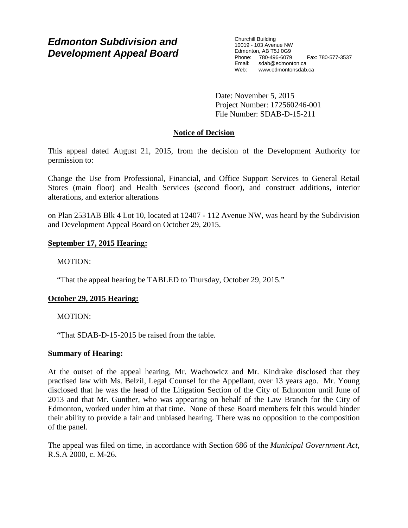# *Edmonton Subdivision and Development Appeal Board*

Churchill Building 10019 - 103 Avenue NW Edmonton, AB T5J 0G9 Phone: 780-496-6079 Fax: 780-577-3537 Email: sdab@edmonton.ca<br>Web: www.edmontonsdab www.edmontonsdab.ca

Date: November 5, 2015 Project Number: 172560246-001 File Number: SDAB-D-15-211

# **Notice of Decision**

This appeal dated August 21, 2015, from the decision of the Development Authority for permission to:

Change the Use from Professional, Financial, and Office Support Services to General Retail Stores (main floor) and Health Services (second floor), and construct additions, interior alterations, and exterior alterations

on Plan 2531AB Blk 4 Lot 10, located at 12407 - 112 Avenue NW, was heard by the Subdivision and Development Appeal Board on October 29, 2015.

# **September 17, 2015 Hearing:**

MOTION:

"That the appeal hearing be TABLED to Thursday, October 29, 2015."

# **October 29, 2015 Hearing:**

MOTION:

"That SDAB-D-15-2015 be raised from the table.

# **Summary of Hearing:**

At the outset of the appeal hearing, Mr. Wachowicz and Mr. Kindrake disclosed that they practised law with Ms. Belzil, Legal Counsel for the Appellant, over 13 years ago. Mr. Young disclosed that he was the head of the Litigation Section of the City of Edmonton until June of 2013 and that Mr. Gunther, who was appearing on behalf of the Law Branch for the City of Edmonton, worked under him at that time. None of these Board members felt this would hinder their ability to provide a fair and unbiased hearing. There was no opposition to the composition of the panel.

The appeal was filed on time, in accordance with Section 686 of the *Municipal Government Act*, R.S.A 2000, c. M-26.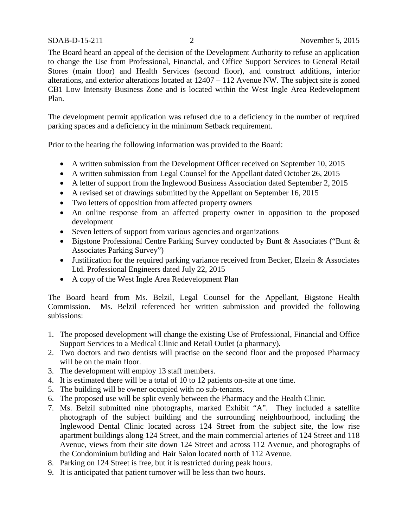The Board heard an appeal of the decision of the Development Authority to refuse an application to change the Use from Professional, Financial, and Office Support Services to General Retail Stores (main floor) and Health Services (second floor), and construct additions, interior alterations, and exterior alterations located at 12407 – 112 Avenue NW. The subject site is zoned CB1 Low Intensity Business Zone and is located within the West Ingle Area Redevelopment Plan.

The development permit application was refused due to a deficiency in the number of required parking spaces and a deficiency in the minimum Setback requirement.

Prior to the hearing the following information was provided to the Board:

- A written submission from the Development Officer received on September 10, 2015
- A written submission from Legal Counsel for the Appellant dated October 26, 2015
- A letter of support from the Inglewood Business Association dated September 2, 2015
- A revised set of drawings submitted by the Appellant on September 16, 2015
- Two letters of opposition from affected property owners
- An online response from an affected property owner in opposition to the proposed development
- Seven letters of support from various agencies and organizations
- Bigstone Professional Centre Parking Survey conducted by Bunt & Associates ("Bunt & Associates Parking Survey")
- Justification for the required parking variance received from Becker, Elzein & Associates Ltd. Professional Engineers dated July 22, 2015
- A copy of the West Ingle Area Redevelopment Plan

The Board heard from Ms. Belzil, Legal Counsel for the Appellant, Bigstone Health Commission. Ms. Belzil referenced her written submission and provided the following subissions:

- 1. The proposed development will change the existing Use of Professional, Financial and Office Support Services to a Medical Clinic and Retail Outlet (a pharmacy).
- 2. Two doctors and two dentists will practise on the second floor and the proposed Pharmacy will be on the main floor.
- 3. The development will employ 13 staff members.
- 4. It is estimated there will be a total of 10 to 12 patients on-site at one time.
- 5. The building will be owner occupied with no sub-tenants.
- 6. The proposed use will be split evenly between the Pharmacy and the Health Clinic.
- 7. Ms. Belzil submitted nine photographs, marked Exhibit "A". They included a satellite photograph of the subject building and the surrounding neighbourhood, including the Inglewood Dental Clinic located across 124 Street from the subject site, the low rise apartment buildings along 124 Street, and the main commercial arteries of 124 Street and 118 Avenue, views from their site down 124 Street and across 112 Avenue, and photographs of the Condominium building and Hair Salon located north of 112 Avenue.
- 8. Parking on 124 Street is free, but it is restricted during peak hours.
- 9. It is anticipated that patient turnover will be less than two hours.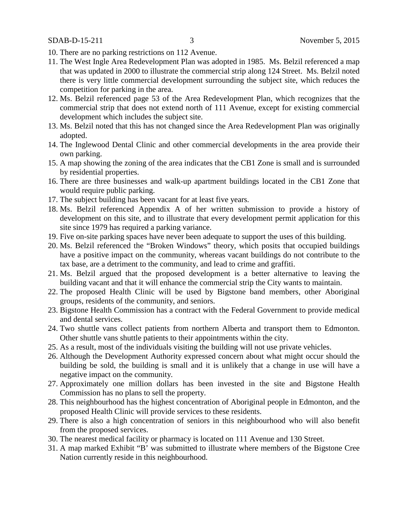- 10. There are no parking restrictions on 112 Avenue.
- 11. The West Ingle Area Redevelopment Plan was adopted in 1985. Ms. Belzil referenced a map that was updated in 2000 to illustrate the commercial strip along 124 Street. Ms. Belzil noted there is very little commercial development surrounding the subject site, which reduces the competition for parking in the area.
- 12. Ms. Belzil referenced page 53 of the Area Redevelopment Plan, which recognizes that the commercial strip that does not extend north of 111 Avenue, except for existing commercial development which includes the subject site.
- 13. Ms. Belzil noted that this has not changed since the Area Redevelopment Plan was originally adopted.
- 14. The Inglewood Dental Clinic and other commercial developments in the area provide their own parking.
- 15. A map showing the zoning of the area indicates that the CB1 Zone is small and is surrounded by residential properties.
- 16. There are three businesses and walk-up apartment buildings located in the CB1 Zone that would require public parking.
- 17. The subject building has been vacant for at least five years.
- 18. Ms. Belzil referenced Appendix A of her written submission to provide a history of development on this site, and to illustrate that every development permit application for this site since 1979 has required a parking variance.
- 19. Five on-site parking spaces have never been adequate to support the uses of this building.
- 20. Ms. Belzil referenced the "Broken Windows" theory, which posits that occupied buildings have a positive impact on the community, whereas vacant buildings do not contribute to the tax base, are a detriment to the community, and lead to crime and graffiti.
- 21. Ms. Belzil argued that the proposed development is a better alternative to leaving the building vacant and that it will enhance the commercial strip the City wants to maintain.
- 22. The proposed Health Clinic will be used by Bigstone band members, other Aboriginal groups, residents of the community, and seniors.
- 23. Bigstone Health Commission has a contract with the Federal Government to provide medical and dental services.
- 24. Two shuttle vans collect patients from northern Alberta and transport them to Edmonton. Other shuttle vans shuttle patients to their appointments within the city.
- 25. As a result, most of the individuals visiting the building will not use private vehicles.
- 26. Although the Development Authority expressed concern about what might occur should the building be sold, the building is small and it is unlikely that a change in use will have a negative impact on the community.
- 27. Approximately one million dollars has been invested in the site and Bigstone Health Commission has no plans to sell the property.
- 28. This neighbourhood has the highest concentration of Aboriginal people in Edmonton, and the proposed Health Clinic will provide services to these residents.
- 29. There is also a high concentration of seniors in this neighbourhood who will also benefit from the proposed services.
- 30. The nearest medical facility or pharmacy is located on 111 Avenue and 130 Street.
- 31. A map marked Exhibit "B' was submitted to illustrate where members of the Bigstone Cree Nation currently reside in this neighbourhood.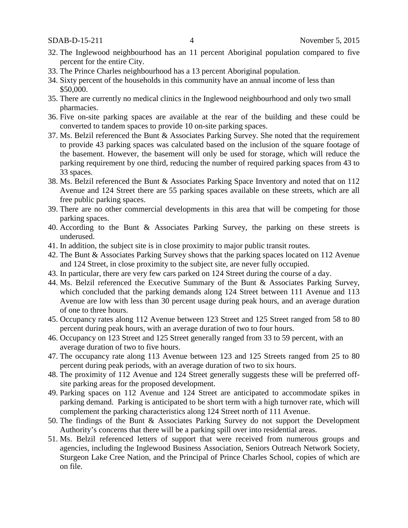- 32. The Inglewood neighbourhood has an 11 percent Aboriginal population compared to five percent for the entire City.
- 33. The Prince Charles neighbourhood has a 13 percent Aboriginal population.
- 34. Sixty percent of the households in this community have an annual income of less than \$50,000.
- 35. There are currently no medical clinics in the Inglewood neighbourhood and only two small pharmacies.
- 36. Five on-site parking spaces are available at the rear of the building and these could be converted to tandem spaces to provide 10 on-site parking spaces.
- 37. Ms. Belzil referenced the Bunt & Associates Parking Survey. She noted that the requirement to provide 43 parking spaces was calculated based on the inclusion of the square footage of the basement. However, the basement will only be used for storage, which will reduce the parking requirement by one third, reducing the number of required parking spaces from 43 to 33 spaces.
- 38. Ms. Belzil referenced the Bunt & Associates Parking Space Inventory and noted that on 112 Avenue and 124 Street there are 55 parking spaces available on these streets, which are all free public parking spaces.
- 39. There are no other commercial developments in this area that will be competing for those parking spaces.
- 40. According to the Bunt & Associates Parking Survey, the parking on these streets is underused.
- 41. In addition, the subject site is in close proximity to major public transit routes.
- 42. The Bunt & Associates Parking Survey shows that the parking spaces located on 112 Avenue and 124 Street, in close proximity to the subject site, are never fully occupied.
- 43. In particular, there are very few cars parked on 124 Street during the course of a day.
- 44. Ms. Belzil referenced the Executive Summary of the Bunt & Associates Parking Survey, which concluded that the parking demands along 124 Street between 111 Avenue and 113 Avenue are low with less than 30 percent usage during peak hours, and an average duration of one to three hours.
- 45. Occupancy rates along 112 Avenue between 123 Street and 125 Street ranged from 58 to 80 percent during peak hours, with an average duration of two to four hours.
- 46. Occupancy on 123 Street and 125 Street generally ranged from 33 to 59 percent, with an average duration of two to five hours.
- 47. The occupancy rate along 113 Avenue between 123 and 125 Streets ranged from 25 to 80 percent during peak periods, with an average duration of two to six hours.
- 48. The proximity of 112 Avenue and 124 Street generally suggests these will be preferred offsite parking areas for the proposed development.
- 49. Parking spaces on 112 Avenue and 124 Street are anticipated to accommodate spikes in parking demand. Parking is anticipated to be short term with a high turnover rate, which will complement the parking characteristics along 124 Street north of 111 Avenue.
- 50. The findings of the Bunt & Associates Parking Survey do not support the Development Authority's concerns that there will be a parking spill over into residential areas.
- 51. Ms. Belzil referenced letters of support that were received from numerous groups and agencies, including the Inglewood Business Association, Seniors Outreach Network Society, Sturgeon Lake Cree Nation, and the Principal of Prince Charles School, copies of which are on file.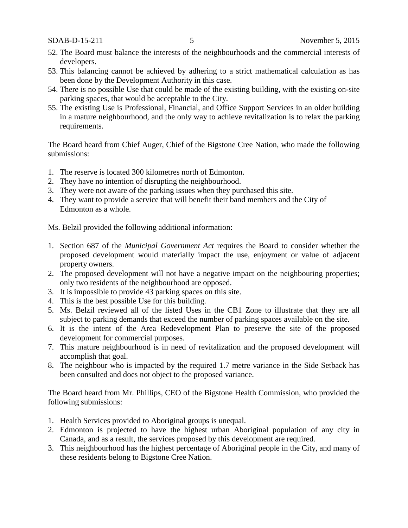- 52. The Board must balance the interests of the neighbourhoods and the commercial interests of developers.
- 53. This balancing cannot be achieved by adhering to a strict mathematical calculation as has been done by the Development Authority in this case.
- 54. There is no possible Use that could be made of the existing building, with the existing on-site parking spaces, that would be acceptable to the City.
- 55. The existing Use is Professional, Financial, and Office Support Services in an older building in a mature neighbourhood, and the only way to achieve revitalization is to relax the parking requirements.

The Board heard from Chief Auger, Chief of the Bigstone Cree Nation, who made the following submissions:

- 1. The reserve is located 300 kilometres north of Edmonton.
- 2. They have no intention of disrupting the neighbourhood.
- 3. They were not aware of the parking issues when they purchased this site.
- 4. They want to provide a service that will benefit their band members and the City of Edmonton as a whole.

Ms. Belzil provided the following additional information:

- 1. Section 687 of the *Municipal Government Act* requires the Board to consider whether the proposed development would materially impact the use, enjoyment or value of adjacent property owners.
- 2. The proposed development will not have a negative impact on the neighbouring properties; only two residents of the neighbourhood are opposed.
- 3. It is impossible to provide 43 parking spaces on this site.
- 4. This is the best possible Use for this building.
- 5. Ms. Belzil reviewed all of the listed Uses in the CB1 Zone to illustrate that they are all subject to parking demands that exceed the number of parking spaces available on the site.
- 6. It is the intent of the Area Redevelopment Plan to preserve the site of the proposed development for commercial purposes.
- 7. This mature neighbourhood is in need of revitalization and the proposed development will accomplish that goal.
- 8. The neighbour who is impacted by the required 1.7 metre variance in the Side Setback has been consulted and does not object to the proposed variance.

The Board heard from Mr. Phillips, CEO of the Bigstone Health Commission, who provided the following submissions:

- 1. Health Services provided to Aboriginal groups is unequal.
- 2. Edmonton is projected to have the highest urban Aboriginal population of any city in Canada, and as a result, the services proposed by this development are required.
- 3. This neighbourhood has the highest percentage of Aboriginal people in the City, and many of these residents belong to Bigstone Cree Nation.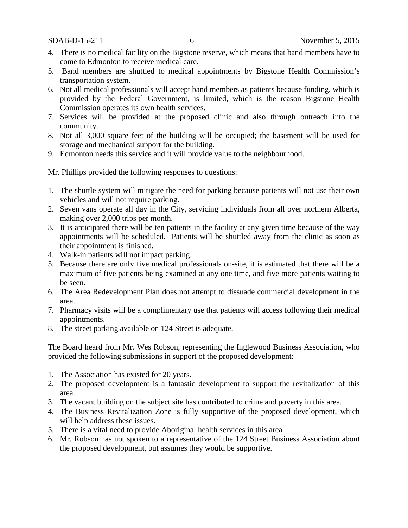- 4. There is no medical facility on the Bigstone reserve, which means that band members have to come to Edmonton to receive medical care.
- 5. Band members are shuttled to medical appointments by Bigstone Health Commission's transportation system.
- 6. Not all medical professionals will accept band members as patients because funding, which is provided by the Federal Government, is limited, which is the reason Bigstone Health Commission operates its own health services.
- 7. Services will be provided at the proposed clinic and also through outreach into the community.
- 8. Not all 3,000 square feet of the building will be occupied; the basement will be used for storage and mechanical support for the building.
- 9. Edmonton needs this service and it will provide value to the neighbourhood.

Mr. Phillips provided the following responses to questions:

- 1. The shuttle system will mitigate the need for parking because patients will not use their own vehicles and will not require parking.
- 2. Seven vans operate all day in the City, servicing individuals from all over northern Alberta, making over 2,000 trips per month.
- 3. It is anticipated there will be ten patients in the facility at any given time because of the way appointments will be scheduled. Patients will be shuttled away from the clinic as soon as their appointment is finished.
- 4. Walk-in patients will not impact parking.
- 5. Because there are only five medical professionals on-site, it is estimated that there will be a maximum of five patients being examined at any one time, and five more patients waiting to be seen.
- 6. The Area Redevelopment Plan does not attempt to dissuade commercial development in the area.
- 7. Pharmacy visits will be a complimentary use that patients will access following their medical appointments.
- 8. The street parking available on 124 Street is adequate.

The Board heard from Mr. Wes Robson, representing the Inglewood Business Association, who provided the following submissions in support of the proposed development:

- 1. The Association has existed for 20 years.
- 2. The proposed development is a fantastic development to support the revitalization of this area.
- 3. The vacant building on the subject site has contributed to crime and poverty in this area.
- 4. The Business Revitalization Zone is fully supportive of the proposed development, which will help address these issues.
- 5. There is a vital need to provide Aboriginal health services in this area.
- 6. Mr. Robson has not spoken to a representative of the 124 Street Business Association about the proposed development, but assumes they would be supportive.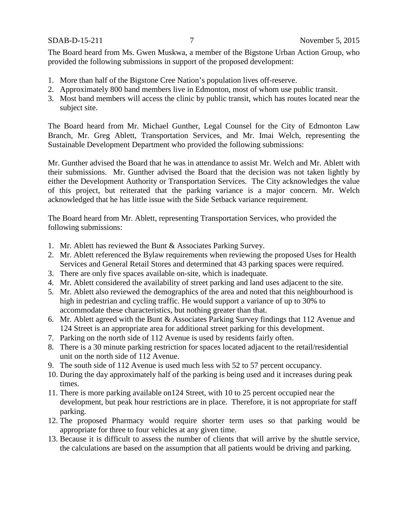The Board heard from Ms. Gwen Muskwa, a member of the Bigstone Urban Action Group, who provided the following submissions in support of the proposed development:

- 1. More than half of the Bigstone Cree Nation's population lives off-reserve.
- 2. Approximately 800 band members live in Edmonton, most of whom use public transit.
- 3. Most band members will access the clinic by public transit, which has routes located near the subject site.

The Board heard from Mr. Michael Gunther, Legal Counsel for the City of Edmonton Law Branch, Mr. Greg Ablett, Transportation Services, and Mr. Imai Welch, representing the Sustainable Development Department who provided the following submissions:

Mr. Gunther advised the Board that he was in attendance to assist Mr. Welch and Mr. Ablett with their submissions. Mr. Gunther advised the Board that the decision was not taken lightly by either the Development Authority or Transportation Services. The City acknowledges the value of this project, but reiterated that the parking variance is a major concern. Mr. Welch acknowledged that he has little issue with the Side Setback variance requirement.

The Board heard from Mr. Ablett, representing Transportation Services, who provided the following submissions:

- 1. Mr. Ablett has reviewed the Bunt & Associates Parking Survey.
- 2. Mr. Ablett referenced the Bylaw requirements when reviewing the proposed Uses for Health Services and General Retail Stores and determined that 43 parking spaces were required.
- 3. There are only five spaces available on-site, which is inadequate.
- 4. Mr. Ablett considered the availability of street parking and land uses adjacent to the site.
- 5. Mr. Ablett also reviewed the demographics of the area and noted that this neighbourhood is high in pedestrian and cycling traffic. He would support a variance of up to 30% to accommodate these characteristics, but nothing greater than that.
- 6. Mr. Ablett agreed with the Bunt & Associates Parking Survey findings that 112 Avenue and 124 Street is an appropriate area for additional street parking for this development.
- 7. Parking on the north side of 112 Avenue is used by residents fairly often.
- 8. There is a 30 minute parking restriction for spaces located adjacent to the retail/residential unit on the north side of 112 Avenue.
- 9. The south side of 112 Avenue is used much less with 52 to 57 percent occupancy.
- 10. During the day approximately half of the parking is being used and it increases during peak times.
- 11. There is more parking available on124 Street, with 10 to 25 percent occupied near the development, but peak hour restrictions are in place. Therefore, it is not appropriate for staff parking.
- 12. The proposed Pharmacy would require shorter term uses so that parking would be appropriate for three to four vehicles at any given time.
- 13. Because it is difficult to assess the number of clients that will arrive by the shuttle service, the calculations are based on the assumption that all patients would be driving and parking.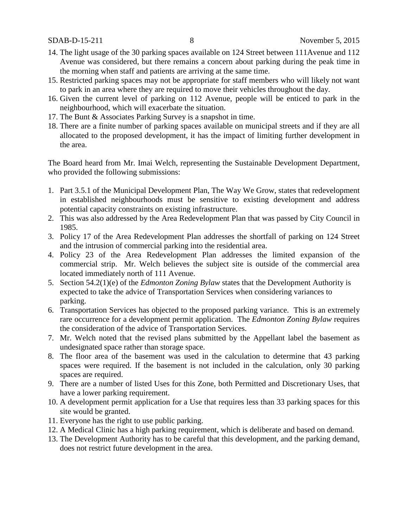- 14. The light usage of the 30 parking spaces available on 124 Street between 111Avenue and 112 Avenue was considered, but there remains a concern about parking during the peak time in the morning when staff and patients are arriving at the same time.
- 15. Restricted parking spaces may not be appropriate for staff members who will likely not want to park in an area where they are required to move their vehicles throughout the day.
- 16. Given the current level of parking on 112 Avenue, people will be enticed to park in the neighbourhood, which will exacerbate the situation.
- 17. The Bunt & Associates Parking Survey is a snapshot in time.
- 18. There are a finite number of parking spaces available on municipal streets and if they are all allocated to the proposed development, it has the impact of limiting further development in the area.

The Board heard from Mr. Imai Welch, representing the Sustainable Development Department, who provided the following submissions:

- 1. Part 3.5.1 of the Municipal Development Plan, The Way We Grow, states that redevelopment in established neighbourhoods must be sensitive to existing development and address potential capacity constraints on existing infrastructure.
- 2. This was also addressed by the Area Redevelopment Plan that was passed by City Council in 1985.
- 3. Policy 17 of the Area Redevelopment Plan addresses the shortfall of parking on 124 Street and the intrusion of commercial parking into the residential area.
- 4. Policy 23 of the Area Redevelopment Plan addresses the limited expansion of the commercial strip. Mr. Welch believes the subject site is outside of the commercial area located immediately north of 111 Avenue.
- 5. Section 54.2(1)(e) of the *Edmonton Zoning Bylaw* states that the Development Authority is expected to take the advice of Transportation Services when considering variances to parking.
- 6. Transportation Services has objected to the proposed parking variance. This is an extremely rare occurrence for a development permit application. The *Edmonton Zoning Bylaw* requires the consideration of the advice of Transportation Services.
- 7. Mr. Welch noted that the revised plans submitted by the Appellant label the basement as undesignated space rather than storage space.
- 8. The floor area of the basement was used in the calculation to determine that 43 parking spaces were required. If the basement is not included in the calculation, only 30 parking spaces are required.
- 9. There are a number of listed Uses for this Zone, both Permitted and Discretionary Uses, that have a lower parking requirement.
- 10. A development permit application for a Use that requires less than 33 parking spaces for this site would be granted.
- 11. Everyone has the right to use public parking.
- 12. A Medical Clinic has a high parking requirement, which is deliberate and based on demand.
- 13. The Development Authority has to be careful that this development, and the parking demand, does not restrict future development in the area.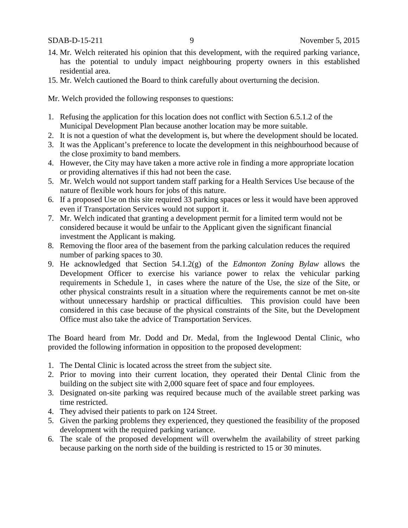- 14. Mr. Welch reiterated his opinion that this development, with the required parking variance, has the potential to unduly impact neighbouring property owners in this established residential area.
- 15. Mr. Welch cautioned the Board to think carefully about overturning the decision.

Mr. Welch provided the following responses to questions:

- 1. Refusing the application for this location does not conflict with Section 6.5.1.2 of the Municipal Development Plan because another location may be more suitable.
- 2. It is not a question of what the development is, but where the development should be located.
- 3. It was the Applicant's preference to locate the development in this neighbourhood because of the close proximity to band members.
- 4. However, the City may have taken a more active role in finding a more appropriate location or providing alternatives if this had not been the case.
- 5. Mr. Welch would not support tandem staff parking for a Health Services Use because of the nature of flexible work hours for jobs of this nature.
- 6. If a proposed Use on this site required 33 parking spaces or less it would have been approved even if Transportation Services would not support it.
- 7. Mr. Welch indicated that granting a development permit for a limited term would not be considered because it would be unfair to the Applicant given the significant financial investment the Applicant is making.
- 8. Removing the floor area of the basement from the parking calculation reduces the required number of parking spaces to 30.
- 9. He acknowledged that Section 54.1.2(g) of the *Edmonton Zoning Bylaw* allows the Development Officer to exercise his variance power to relax the vehicular parking requirements in Schedule 1, in cases where the nature of the Use, the size of the Site, or other physical constraints result in a situation where the requirements cannot be met on-site without unnecessary hardship or practical difficulties. This provision could have been considered in this case because of the physical constraints of the Site, but the Development Office must also take the advice of Transportation Services.

The Board heard from Mr. Dodd and Dr. Medal, from the Inglewood Dental Clinic, who provided the following information in opposition to the proposed development:

- 1. The Dental Clinic is located across the street from the subject site.
- 2. Prior to moving into their current location, they operated their Dental Clinic from the building on the subject site with 2,000 square feet of space and four employees.
- 3. Designated on-site parking was required because much of the available street parking was time restricted.
- 4. They advised their patients to park on 124 Street.
- 5. Given the parking problems they experienced, they questioned the feasibility of the proposed development with the required parking variance.
- 6. The scale of the proposed development will overwhelm the availability of street parking because parking on the north side of the building is restricted to 15 or 30 minutes.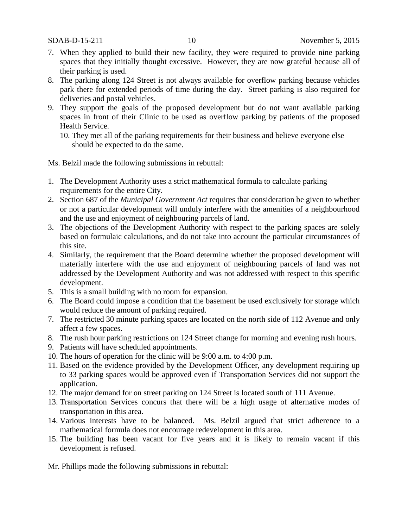- 7. When they applied to build their new facility, they were required to provide nine parking spaces that they initially thought excessive. However, they are now grateful because all of their parking is used.
- 8. The parking along 124 Street is not always available for overflow parking because vehicles park there for extended periods of time during the day. Street parking is also required for deliveries and postal vehicles.
- 9. They support the goals of the proposed development but do not want available parking spaces in front of their Clinic to be used as overflow parking by patients of the proposed Health Service.
	- 10. They met all of the parking requirements for their business and believe everyone else should be expected to do the same.

Ms. Belzil made the following submissions in rebuttal:

- 1. The Development Authority uses a strict mathematical formula to calculate parking requirements for the entire City.
- 2. Section 687 of the *Municipal Government Act* requires that consideration be given to whether or not a particular development will unduly interfere with the amenities of a neighbourhood and the use and enjoyment of neighbouring parcels of land.
- 3. The objections of the Development Authority with respect to the parking spaces are solely based on formulaic calculations, and do not take into account the particular circumstances of this site.
- 4. Similarly, the requirement that the Board determine whether the proposed development will materially interfere with the use and enjoyment of neighbouring parcels of land was not addressed by the Development Authority and was not addressed with respect to this specific development.
- 5. This is a small building with no room for expansion.
- 6. The Board could impose a condition that the basement be used exclusively for storage which would reduce the amount of parking required.
- 7. The restricted 30 minute parking spaces are located on the north side of 112 Avenue and only affect a few spaces.
- 8. The rush hour parking restrictions on 124 Street change for morning and evening rush hours.
- 9. Patients will have scheduled appointments.
- 10. The hours of operation for the clinic will be 9:00 a.m. to 4:00 p.m.
- 11. Based on the evidence provided by the Development Officer, any development requiring up to 33 parking spaces would be approved even if Transportation Services did not support the application.
- 12. The major demand for on street parking on 124 Street is located south of 111 Avenue.
- 13. Transportation Services concurs that there will be a high usage of alternative modes of transportation in this area.
- 14. Various interests have to be balanced. Ms. Belzil argued that strict adherence to a mathematical formula does not encourage redevelopment in this area.
- 15. The building has been vacant for five years and it is likely to remain vacant if this development is refused.

Mr. Phillips made the following submissions in rebuttal: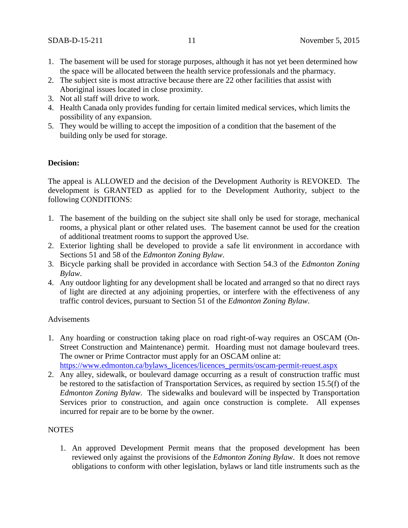- 1. The basement will be used for storage purposes, although it has not yet been determined how the space will be allocated between the health service professionals and the pharmacy.
- 2. The subject site is most attractive because there are 22 other facilities that assist with Aboriginal issues located in close proximity.
- 3. Not all staff will drive to work.
- 4. Health Canada only provides funding for certain limited medical services, which limits the possibility of any expansion.
- 5. They would be willing to accept the imposition of a condition that the basement of the building only be used for storage.

### **Decision:**

The appeal is ALLOWED and the decision of the Development Authority is REVOKED. The development is GRANTED as applied for to the Development Authority, subject to the following CONDITIONS:

- 1. The basement of the building on the subject site shall only be used for storage, mechanical rooms, a physical plant or other related uses. The basement cannot be used for the creation of additional treatment rooms to support the approved Use.
- 2. Exterior lighting shall be developed to provide a safe lit environment in accordance with Sections 51 and 58 of the *Edmonton Zoning Bylaw*.
- 3. Bicycle parking shall be provided in accordance with Section 54.3 of the *Edmonton Zoning Bylaw*.
- 4. Any outdoor lighting for any development shall be located and arranged so that no direct rays of light are directed at any adjoining properties, or interfere with the effectiveness of any traffic control devices, pursuant to Section 51 of the *Edmonton Zoning Bylaw*.

#### Advisements

- 1. Any hoarding or construction taking place on road right-of-way requires an OSCAM (On-Street Construction and Maintenance) permit. Hoarding must not damage boulevard trees. The owner or Prime Contractor must apply for an OSCAM online at: [https://www.edmonton.ca/bylaws\\_licences/licences\\_permits/oscam-permit-reuest.aspx](https://www.edmonton.ca/bylaws_licences/licences_permits/oscam-permit-reuest.aspx)
- 2. Any alley, sidewalk, or boulevard damage occurring as a result of construction traffic must be restored to the satisfaction of Transportation Services, as required by section 15.5(f) of the *Edmonton Zoning Bylaw*. The sidewalks and boulevard will be inspected by Transportation Services prior to construction, and again once construction is complete. All expenses incurred for repair are to be borne by the owner.

# NOTES

1. An approved Development Permit means that the proposed development has been reviewed only against the provisions of the *Edmonton Zoning Bylaw*. It does not remove obligations to conform with other legislation, bylaws or land title instruments such as the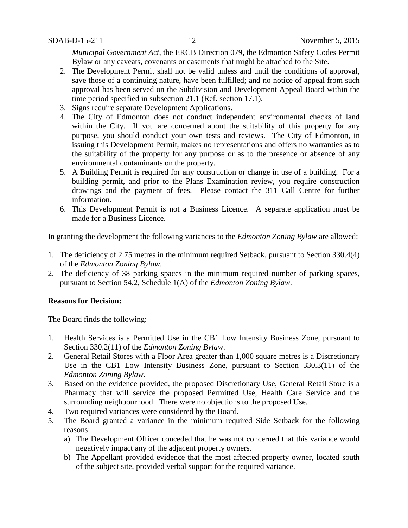*Municipal Government Act*, the ERCB Direction 079, the Edmonton Safety Codes Permit Bylaw or any caveats, covenants or easements that might be attached to the Site.

- 2. The Development Permit shall not be valid unless and until the conditions of approval, save those of a continuing nature, have been fulfilled; and no notice of appeal from such approval has been served on the Subdivision and Development Appeal Board within the time period specified in subsection 21.1 (Ref. section 17.1).
- 3. Signs require separate Development Applications.
- 4. The City of Edmonton does not conduct independent environmental checks of land within the City. If you are concerned about the suitability of this property for any purpose, you should conduct your own tests and reviews. The City of Edmonton, in issuing this Development Permit, makes no representations and offers no warranties as to the suitability of the property for any purpose or as to the presence or absence of any environmental contaminants on the property.
- 5. A Building Permit is required for any construction or change in use of a building. For a building permit, and prior to the Plans Examination review, you require construction drawings and the payment of fees. Please contact the 311 Call Centre for further information.
- 6. This Development Permit is not a Business Licence. A separate application must be made for a Business Licence.

In granting the development the following variances to the *Edmonton Zoning Bylaw* are allowed:

- 1. The deficiency of 2.75 metres in the minimum required Setback, pursuant to Section 330.4(4) of the *Edmonton Zoning Bylaw*.
- 2. The deficiency of 38 parking spaces in the minimum required number of parking spaces, pursuant to Section 54.2, Schedule 1(A) of the *Edmonton Zoning Bylaw*.

#### **Reasons for Decision:**

The Board finds the following:

- 1. Health Services is a Permitted Use in the CB1 Low Intensity Business Zone, pursuant to Section 330.2(11) of the *Edmonton Zoning Bylaw*.
- 2. General Retail Stores with a Floor Area greater than 1,000 square metres is a Discretionary Use in the CB1 Low Intensity Business Zone, pursuant to Section 330.3(11) of the *Edmonton Zoning Bylaw*.
- 3. Based on the evidence provided, the proposed Discretionary Use, General Retail Store is a Pharmacy that will service the proposed Permitted Use, Health Care Service and the surrounding neighbourhood. There were no objections to the proposed Use.
- 4. Two required variances were considered by the Board.
- 5. The Board granted a variance in the minimum required Side Setback for the following reasons:
	- a) The Development Officer conceded that he was not concerned that this variance would negatively impact any of the adjacent property owners.
	- b) The Appellant provided evidence that the most affected property owner, located south of the subject site, provided verbal support for the required variance.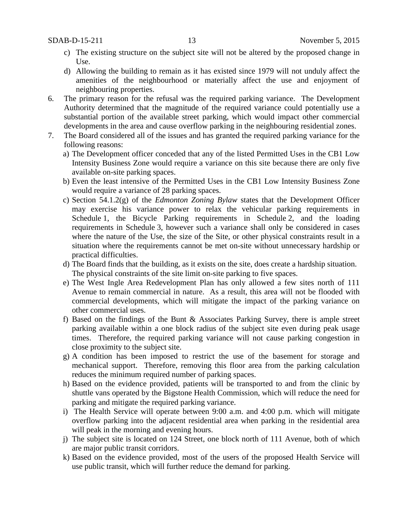- c) The existing structure on the subject site will not be altered by the proposed change in Use.
- d) Allowing the building to remain as it has existed since 1979 will not unduly affect the amenities of the neighbourhood or materially affect the use and enjoyment of neighbouring properties.
- 6. The primary reason for the refusal was the required parking variance. The Development Authority determined that the magnitude of the required variance could potentially use a substantial portion of the available street parking, which would impact other commercial developments in the area and cause overflow parking in the neighbouring residential zones.
- 7. The Board considered all of the issues and has granted the required parking variance for the following reasons:
	- a) The Development officer conceded that any of the listed Permitted Uses in the CB1 Low Intensity Business Zone would require a variance on this site because there are only five available on-site parking spaces.
	- b) Even the least intensive of the Permitted Uses in the CB1 Low Intensity Business Zone would require a variance of 28 parking spaces.
	- c) Section 54.1.2(g) of the *Edmonton Zoning Bylaw* states that the Development Officer may exercise his variance power to relax the vehicular parking requirements in Schedule 1, the Bicycle Parking requirements in Schedule 2, and the loading requirements in Schedule 3, however such a variance shall only be considered in cases where the nature of the Use, the size of the Site, or other physical constraints result in a situation where the requirements cannot be met on-site without unnecessary hardship or practical difficulties.
	- d) The Board finds that the building, as it exists on the site, does create a hardship situation. The physical constraints of the site limit on-site parking to five spaces.
	- e) The West Ingle Area Redevelopment Plan has only allowed a few sites north of 111 Avenue to remain commercial in nature. As a result, this area will not be flooded with commercial developments, which will mitigate the impact of the parking variance on other commercial uses.
	- f) Based on the findings of the Bunt & Associates Parking Survey, there is ample street parking available within a one block radius of the subject site even during peak usage times. Therefore, the required parking variance will not cause parking congestion in close proximity to the subject site.
	- g) A condition has been imposed to restrict the use of the basement for storage and mechanical support. Therefore, removing this floor area from the parking calculation reduces the minimum required number of parking spaces.
	- h) Based on the evidence provided, patients will be transported to and from the clinic by shuttle vans operated by the Bigstone Health Commission, which will reduce the need for parking and mitigate the required parking variance.
	- i) The Health Service will operate between 9:00 a.m. and 4:00 p.m. which will mitigate overflow parking into the adjacent residential area when parking in the residential area will peak in the morning and evening hours.
	- j) The subject site is located on 124 Street, one block north of 111 Avenue, both of which are major public transit corridors.
	- k) Based on the evidence provided, most of the users of the proposed Health Service will use public transit, which will further reduce the demand for parking.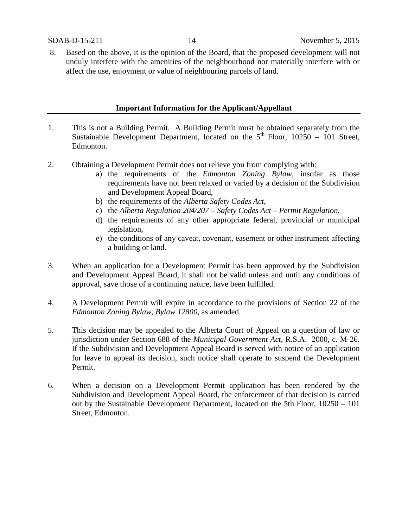8. Based on the above, it is the opinion of the Board, that the proposed development will not unduly interfere with the amenities of the neighbourhood nor materially interfere with or affect the use, enjoyment or value of neighbouring parcels of land.

#### **Important Information for the Applicant/Appellant**

- 1. This is not a Building Permit. A Building Permit must be obtained separately from the Sustainable Development Department, located on the  $5<sup>th</sup>$  Floor, 10250 – 101 Street, Edmonton.
- 2. Obtaining a Development Permit does not relieve you from complying with:
	- a) the requirements of the *Edmonton Zoning Bylaw*, insofar as those requirements have not been relaxed or varied by a decision of the Subdivision and Development Appeal Board,
	- b) the requirements of the *Alberta Safety Codes Act*,
	- c) the *Alberta Regulation 204/207 – Safety Codes Act – Permit Regulation*,
	- d) the requirements of any other appropriate federal, provincial or municipal legislation,
	- e) the conditions of any caveat, covenant, easement or other instrument affecting a building or land.
- 3. When an application for a Development Permit has been approved by the Subdivision and Development Appeal Board, it shall not be valid unless and until any conditions of approval, save those of a continuing nature, have been fulfilled.
- 4. A Development Permit will expire in accordance to the provisions of Section 22 of the *Edmonton Zoning Bylaw, Bylaw 12800*, as amended.
- 5. This decision may be appealed to the Alberta Court of Appeal on a question of law or jurisdiction under Section 688 of the *Municipal Government Act*, R.S.A. 2000, c. M-26. If the Subdivision and Development Appeal Board is served with notice of an application for leave to appeal its decision, such notice shall operate to suspend the Development Permit.
- 6. When a decision on a Development Permit application has been rendered by the Subdivision and Development Appeal Board, the enforcement of that decision is carried out by the Sustainable Development Department, located on the 5th Floor, 10250 – 101 Street, Edmonton.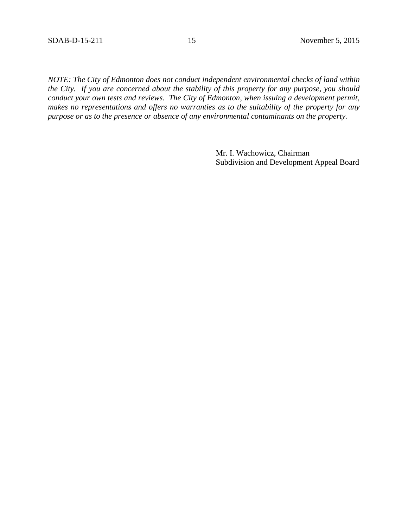*NOTE: The City of Edmonton does not conduct independent environmental checks of land within the City. If you are concerned about the stability of this property for any purpose, you should conduct your own tests and reviews. The City of Edmonton, when issuing a development permit, makes no representations and offers no warranties as to the suitability of the property for any purpose or as to the presence or absence of any environmental contaminants on the property.*

> Mr. I. Wachowicz, Chairman Subdivision and Development Appeal Board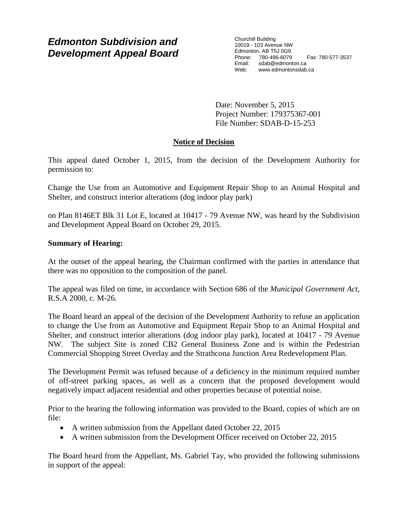# *Edmonton Subdivision and Development Appeal Board*

Churchill Building 10019 - 103 Avenue NW Edmonton, AB T5J 0G9 Phone: 780-496-6079 Fax: 780-577-3537 Email: sdab@edmonton.ca Web: www.edmontonsdab.ca

Date: November 5, 2015 Project Number: 179375367-001 File Number: SDAB-D-15-253

# **Notice of Decision**

This appeal dated October 1, 2015, from the decision of the Development Authority for permission to:

Change the Use from an Automotive and Equipment Repair Shop to an Animal Hospital and Shelter, and construct interior alterations (dog indoor play park)

on Plan 8146ET Blk 31 Lot E, located at 10417 - 79 Avenue NW, was heard by the Subdivision and Development Appeal Board on October 29, 2015.

# **Summary of Hearing:**

At the outset of the appeal hearing, the Chairman confirmed with the parties in attendance that there was no opposition to the composition of the panel.

The appeal was filed on time, in accordance with Section 686 of the *Municipal Government Act*, R.S.A 2000, c. M-26.

The Board heard an appeal of the decision of the Development Authority to refuse an application to change the Use from an Automotive and Equipment Repair Shop to an Animal Hospital and Shelter, and construct interior alterations (dog indoor play park), located at 10417 - 79 Avenue NW. The subject Site is zoned CB2 General Business Zone and is within the Pedestrian Commercial Shopping Street Overlay and the Strathcona Junction Area Redevelopment Plan.

The Development Permit was refused because of a deficiency in the minimum required number of off-street parking spaces, as well as a concern that the proposed development would negatively impact adjacent residential and other properties because of potential noise.

Prior to the hearing the following information was provided to the Board, copies of which are on file:

- A written submission from the Appellant dated October 22, 2015
- A written submission from the Development Officer received on October 22, 2015

The Board heard from the Appellant, Ms. Gabriel Tay, who provided the following submissions in support of the appeal: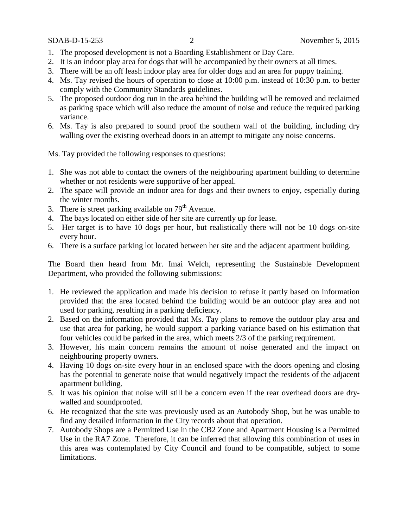- 1. The proposed development is not a Boarding Establishment or Day Care.
- 2. It is an indoor play area for dogs that will be accompanied by their owners at all times.
- 3. There will be an off leash indoor play area for older dogs and an area for puppy training.
- 4. Ms. Tay revised the hours of operation to close at 10:00 p.m. instead of 10:30 p.m. to better comply with the Community Standards guidelines.
- 5. The proposed outdoor dog run in the area behind the building will be removed and reclaimed as parking space which will also reduce the amount of noise and reduce the required parking variance.
- 6. Ms. Tay is also prepared to sound proof the southern wall of the building, including dry walling over the existing overhead doors in an attempt to mitigate any noise concerns.

Ms. Tay provided the following responses to questions:

- 1. She was not able to contact the owners of the neighbouring apartment building to determine whether or not residents were supportive of her appeal.
- 2. The space will provide an indoor area for dogs and their owners to enjoy, especially during the winter months.
- 3. There is street parking available on  $79<sup>th</sup>$  Avenue.
- 4. The bays located on either side of her site are currently up for lease.
- 5. Her target is to have 10 dogs per hour, but realistically there will not be 10 dogs on-site every hour.
- 6. There is a surface parking lot located between her site and the adjacent apartment building.

The Board then heard from Mr. Imai Welch, representing the Sustainable Development Department, who provided the following submissions:

- 1. He reviewed the application and made his decision to refuse it partly based on information provided that the area located behind the building would be an outdoor play area and not used for parking, resulting in a parking deficiency.
- 2. Based on the information provided that Ms. Tay plans to remove the outdoor play area and use that area for parking, he would support a parking variance based on his estimation that four vehicles could be parked in the area, which meets 2/3 of the parking requirement.
- 3. However, his main concern remains the amount of noise generated and the impact on neighbouring property owners.
- 4. Having 10 dogs on-site every hour in an enclosed space with the doors opening and closing has the potential to generate noise that would negatively impact the residents of the adjacent apartment building.
- 5. It was his opinion that noise will still be a concern even if the rear overhead doors are drywalled and soundproofed.
- 6. He recognized that the site was previously used as an Autobody Shop, but he was unable to find any detailed information in the City records about that operation.
- 7. Autobody Shops are a Permitted Use in the CB2 Zone and Apartment Housing is a Permitted Use in the RA7 Zone. Therefore, it can be inferred that allowing this combination of uses in this area was contemplated by City Council and found to be compatible, subject to some limitations.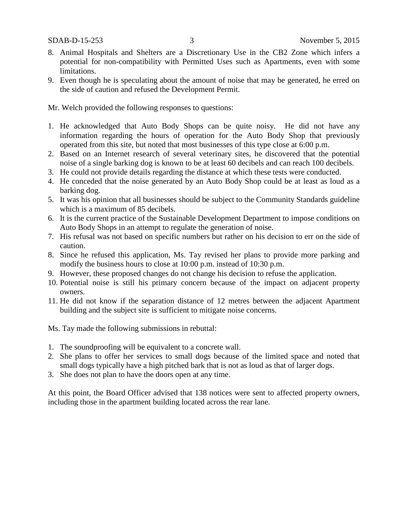- 8. Animal Hospitals and Shelters are a Discretionary Use in the CB2 Zone which infers a potential for non-compatibility with Permitted Uses such as Apartments, even with some limitations.
- 9. Even though he is speculating about the amount of noise that may be generated, he erred on the side of caution and refused the Development Permit.

Mr. Welch provided the following responses to questions:

- 1. He acknowledged that Auto Body Shops can be quite noisy. He did not have any information regarding the hours of operation for the Auto Body Shop that previously operated from this site, but noted that most businesses of this type close at 6:00 p.m.
- 2. Based on an Internet research of several veterinary sites, he discovered that the potential noise of a single barking dog is known to be at least 60 decibels and can reach 100 decibels.
- 3. He could not provide details regarding the distance at which these tests were conducted.
- 4. He conceded that the noise generated by an Auto Body Shop could be at least as loud as a barking dog.
- 5. It was his opinion that all businesses should be subject to the Community Standards guideline which is a maximum of 85 decibels.
- 6. It is the current practice of the Sustainable Development Department to impose conditions on Auto Body Shops in an attempt to regulate the generation of noise.
- 7. His refusal was not based on specific numbers but rather on his decision to err on the side of caution.
- 8. Since he refused this application, Ms. Tay revised her plans to provide more parking and modify the business hours to close at 10:00 p.m. instead of 10:30 p.m.
- 9. However, these proposed changes do not change his decision to refuse the application.
- 10. Potential noise is still his primary concern because of the impact on adjacent property owners.
- 11. He did not know if the separation distance of 12 metres between the adjacent Apartment building and the subject site is sufficient to mitigate noise concerns.

Ms. Tay made the following submissions in rebuttal:

- 1. The soundproofing will be equivalent to a concrete wall.
- 2. She plans to offer her services to small dogs because of the limited space and noted that small dogs typically have a high pitched bark that is not as loud as that of larger dogs.
- 3. She does not plan to have the doors open at any time.

At this point, the Board Officer advised that 138 notices were sent to affected property owners, including those in the apartment building located across the rear lane.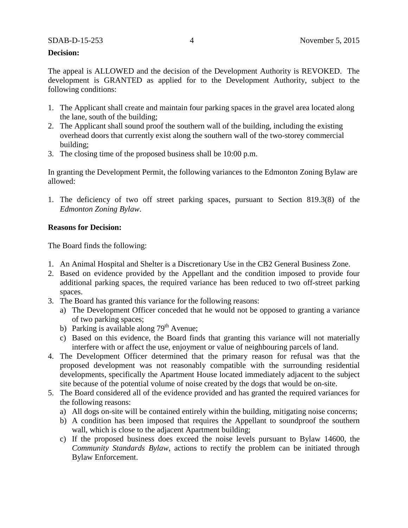### **Decision:**

The appeal is ALLOWED and the decision of the Development Authority is REVOKED. The development is GRANTED as applied for to the Development Authority, subject to the following conditions:

- 1. The Applicant shall create and maintain four parking spaces in the gravel area located along the lane, south of the building;
- 2. The Applicant shall sound proof the southern wall of the building, including the existing overhead doors that currently exist along the southern wall of the two-storey commercial building;
- 3. The closing time of the proposed business shall be 10:00 p.m.

In granting the Development Permit, the following variances to the Edmonton Zoning Bylaw are allowed:

1. The deficiency of two off street parking spaces, pursuant to Section 819.3(8) of the *Edmonton Zoning Bylaw*.

### **Reasons for Decision:**

The Board finds the following:

- 1. An Animal Hospital and Shelter is a Discretionary Use in the CB2 General Business Zone.
- 2. Based on evidence provided by the Appellant and the condition imposed to provide four additional parking spaces, the required variance has been reduced to two off-street parking spaces.
- 3. The Board has granted this variance for the following reasons:
	- a) The Development Officer conceded that he would not be opposed to granting a variance of two parking spaces;
	- b) Parking is available along  $79<sup>th</sup>$  Avenue;
	- c) Based on this evidence, the Board finds that granting this variance will not materially interfere with or affect the use, enjoyment or value of neighbouring parcels of land.
- 4. The Development Officer determined that the primary reason for refusal was that the proposed development was not reasonably compatible with the surrounding residential developments, specifically the Apartment House located immediately adjacent to the subject site because of the potential volume of noise created by the dogs that would be on-site.
- 5. The Board considered all of the evidence provided and has granted the required variances for the following reasons:
	- a) All dogs on-site will be contained entirely within the building, mitigating noise concerns;
	- b) A condition has been imposed that requires the Appellant to soundproof the southern wall, which is close to the adjacent Apartment building;
	- c) If the proposed business does exceed the noise levels pursuant to Bylaw 14600, the *Community Standards Bylaw*, actions to rectify the problem can be initiated through Bylaw Enforcement.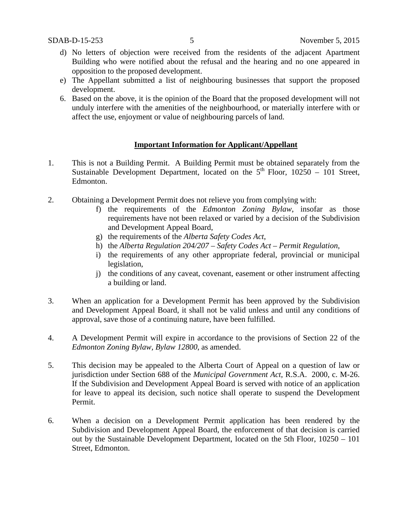- d) No letters of objection were received from the residents of the adjacent Apartment Building who were notified about the refusal and the hearing and no one appeared in opposition to the proposed development.
- e) The Appellant submitted a list of neighbouring businesses that support the proposed development.
- 6. Based on the above, it is the opinion of the Board that the proposed development will not unduly interfere with the amenities of the neighbourhood, or materially interfere with or affect the use, enjoyment or value of neighbouring parcels of land.

### **Important Information for Applicant/Appellant**

- 1. This is not a Building Permit. A Building Permit must be obtained separately from the Sustainable Development Department, located on the  $5<sup>th</sup>$  Floor, 10250 – 101 Street, Edmonton.
- 2. Obtaining a Development Permit does not relieve you from complying with:
	- f) the requirements of the *Edmonton Zoning Bylaw*, insofar as those requirements have not been relaxed or varied by a decision of the Subdivision and Development Appeal Board,
	- g) the requirements of the *Alberta Safety Codes Act*,
	- h) the *Alberta Regulation 204/207 – Safety Codes Act – Permit Regulation*,
	- i) the requirements of any other appropriate federal, provincial or municipal legislation,
	- j) the conditions of any caveat, covenant, easement or other instrument affecting a building or land.
- 3. When an application for a Development Permit has been approved by the Subdivision and Development Appeal Board, it shall not be valid unless and until any conditions of approval, save those of a continuing nature, have been fulfilled.
- 4. A Development Permit will expire in accordance to the provisions of Section 22 of the *Edmonton Zoning Bylaw, Bylaw 12800*, as amended.
- 5. This decision may be appealed to the Alberta Court of Appeal on a question of law or jurisdiction under Section 688 of the *Municipal Government Act*, R.S.A. 2000, c. M-26. If the Subdivision and Development Appeal Board is served with notice of an application for leave to appeal its decision, such notice shall operate to suspend the Development Permit.
- 6. When a decision on a Development Permit application has been rendered by the Subdivision and Development Appeal Board, the enforcement of that decision is carried out by the Sustainable Development Department, located on the 5th Floor, 10250 – 101 Street, Edmonton.